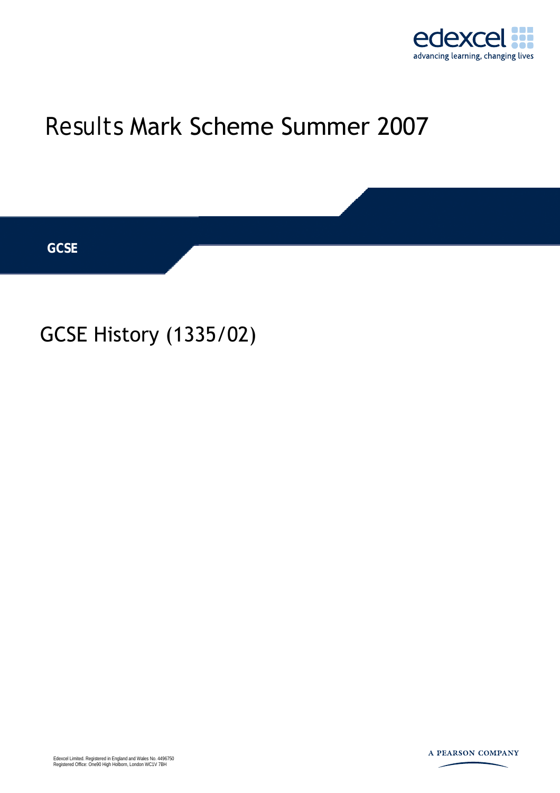

# Results Mark Scheme Summer 2007

**GCSE** 

## GCSE History (1335/02)

Edexcel Limited. Registered in England and Wales No. 4496750 Registered Office: One90 High Holborn, London WC1V 7BH

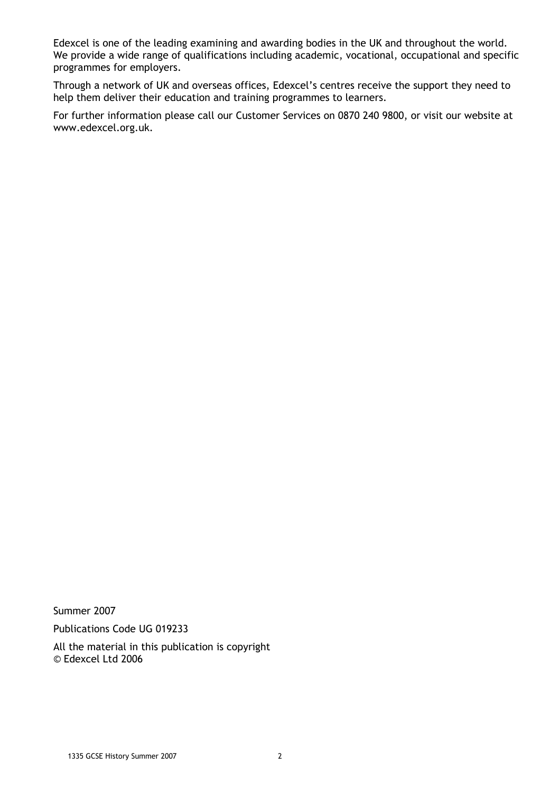Edexcel is one of the leading examining and awarding bodies in the UK and throughout the world. We provide a wide range of qualifications including academic, vocational, occupational and specific programmes for employers.

Through a network of UK and overseas offices, Edexcel's centres receive the support they need to help them deliver their education and training programmes to learners.

For further information please call our Customer Services on 0870 240 9800, or visit our website at www.edexcel.org.uk.

Summer 2007

Publications Code UG 019233

All the material in this publication is copyright © Edexcel Ltd 2006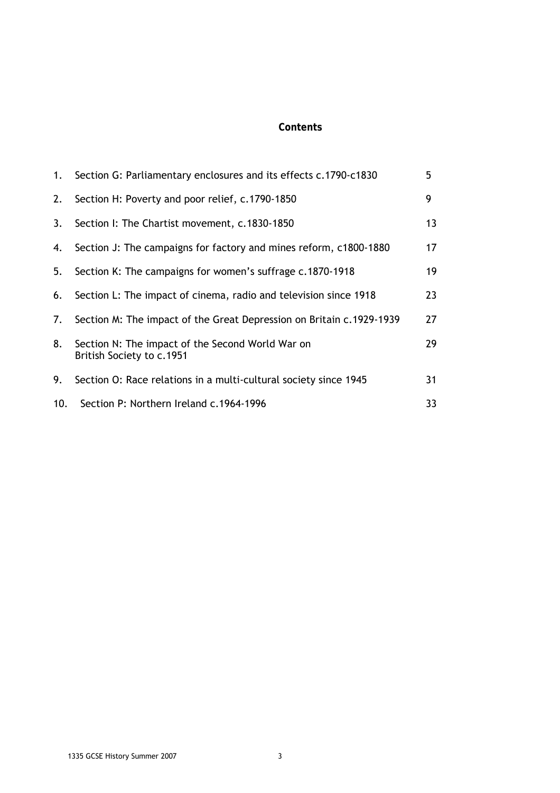### **Contents**

| 1.  | Section G: Parliamentary enclosures and its effects c.1790-c1830              | 5  |
|-----|-------------------------------------------------------------------------------|----|
| 2.  | Section H: Poverty and poor relief, c.1790-1850                               | 9  |
| 3.  | Section I: The Chartist movement, c.1830-1850                                 | 13 |
| 4.  | Section J: The campaigns for factory and mines reform, c1800-1880             | 17 |
| 5.  | Section K: The campaigns for women's suffrage c.1870-1918                     | 19 |
| 6.  | Section L: The impact of cinema, radio and television since 1918              | 23 |
| 7.  | Section M: The impact of the Great Depression on Britain c.1929-1939          | 27 |
| 8.  | Section N: The impact of the Second World War on<br>British Society to c.1951 | 29 |
| 9.  | Section O: Race relations in a multi-cultural society since 1945              | 31 |
| 10. | Section P: Northern Ireland c.1964-1996                                       | 33 |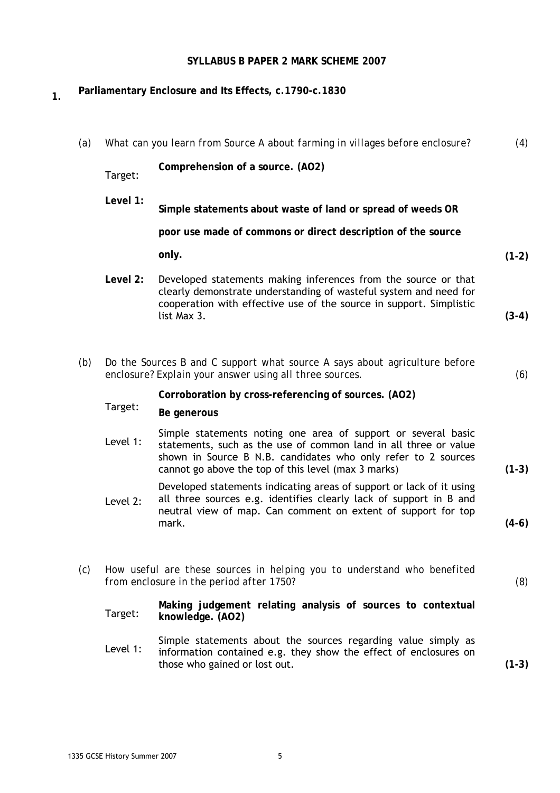### **SYLLABUS B PAPER 2 MARK SCHEME 2007**

### **1. Parliamentary Enclosure and Its Effects, c.1790-c.1830**

| (a) |          | What can you learn from Source A about farming in villages before enclosure?                                                                                                                                                                              | (4)     |
|-----|----------|-----------------------------------------------------------------------------------------------------------------------------------------------------------------------------------------------------------------------------------------------------------|---------|
|     | Target:  | Comprehension of a source. (AO2)                                                                                                                                                                                                                          |         |
|     | Level 1: | Simple statements about waste of land or spread of weeds OR                                                                                                                                                                                               |         |
|     |          | poor use made of commons or direct description of the source                                                                                                                                                                                              |         |
|     |          | only.                                                                                                                                                                                                                                                     | $(1-2)$ |
|     | Level 2: | Developed statements making inferences from the source or that<br>clearly demonstrate understanding of wasteful system and need for<br>cooperation with effective use of the source in support. Simplistic                                                |         |
|     |          | list Max 3.                                                                                                                                                                                                                                               | $(3-4)$ |
|     |          |                                                                                                                                                                                                                                                           |         |
| (b) |          | Do the Sources B and C support what source A says about agriculture before<br>enclosure? Explain your answer using all three sources.                                                                                                                     | (6)     |
|     |          | Corroboration by cross-referencing of sources. (AO2)                                                                                                                                                                                                      |         |
|     | Target:  | Be generous                                                                                                                                                                                                                                               |         |
|     | Level 1: | Simple statements noting one area of support or several basic<br>statements, such as the use of common land in all three or value<br>shown in Source B N.B. candidates who only refer to 2 sources<br>cannot go above the top of this level (max 3 marks) | $(1-3)$ |
|     | Level 2: | Developed statements indicating areas of support or lack of it using<br>all three sources e.g. identifies clearly lack of support in B and                                                                                                                |         |
|     |          | neutral view of map. Can comment on extent of support for top<br>mark.                                                                                                                                                                                    | $(4-6)$ |
| (c) |          | How useful are these sources in helping you to understand who benefited<br>from enclosure in the period after 1750?                                                                                                                                       | (8)     |
|     | Target:  | Making judgement relating analysis of sources to contextual<br>knowledge. (AO2)                                                                                                                                                                           |         |
|     | Level 1: | Simple statements about the sources regarding value simply as<br>information contained e.g. they show the effect of enclosures on<br>those who gained or lost out.                                                                                        | $(1-3)$ |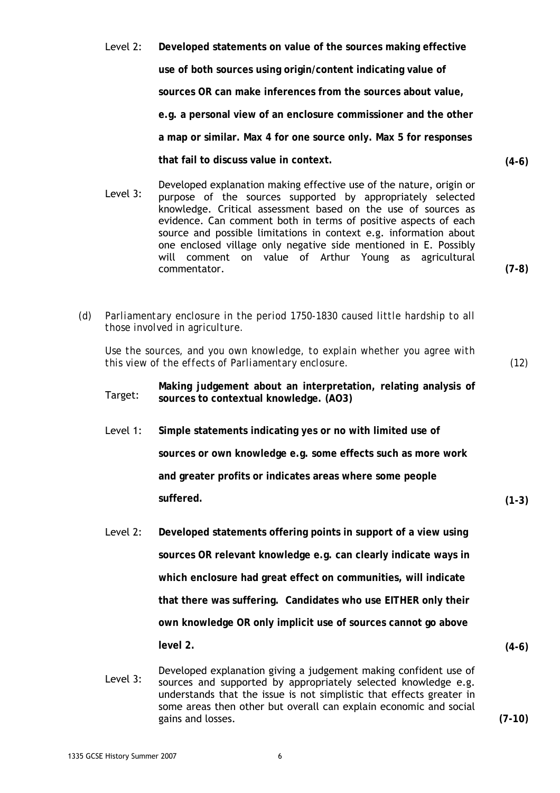- Level 2: **Developed statements on value of the sources making effective use of both sources using origin/content indicating value of sources OR can make inferences from the sources about value, e.g. a personal view of an enclosure commissioner and the other a map or similar. Max 4 for one source only. Max 5 for responses that fail to discuss value in context. (4-6)**
- Developed explanation making effective use of the nature, origin or<br>Level 3: purpose of the seurees supported by appropriately selected purpose of the sources supported by appropriately selected knowledge. Critical assessment based on the use of sources as evidence. Can comment both in terms of positive aspects of each source and possible limitations in context e.g. information about one enclosed village only negative side mentioned in E. Possibly will comment on value of Arthur Young as agricultural commentator. **(7-8)**
- *(d) Parliamentary enclosure in the period 1750-1830 caused little hardship to all those involved in agriculture.*

*Use the sources, and you own knowledge, to explain whether you agree with this view of the effects of Parliamentary enclosure. (12)* 

Making judgement about an interpretation, relating analysis of Target: sources to contextual knowledge (AO3) **sources to contextual knowledge. (AO3)** 

- Level 1: **Simple statements indicating yes or no with limited use of sources or own knowledge e.g. some effects such as more work and greater profits or indicates areas where some people suffered. (1-3)**
- Level 2: **Developed statements offering points in support of a view using sources OR relevant knowledge e.g. can clearly indicate ways in which enclosure had great effect on communities, will indicate that there was suffering. Candidates who use EITHER only their own knowledge OR only implicit use of sources cannot go above level 2. (4-6)**
- Developed explanation giving a judgement making confident use of<br>Level 3: sources and supported by appropriately selected knowledge e.g. sources and supported by appropriately selected knowledge e.g. understands that the issue is not simplistic that effects greater in some areas then other but overall can explain economic and social gains and losses. **(7-10)**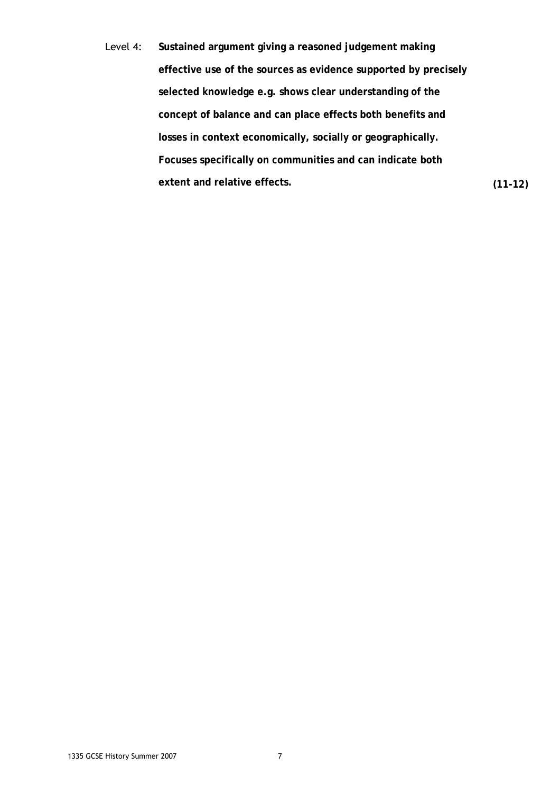Level 4: **Sustained argument giving a reasoned judgement making effective use of the sources as evidence supported by precisely selected knowledge e.g. shows clear understanding of the concept of balance and can place effects both benefits and losses in context economically, socially or geographically. Focuses specifically on communities and can indicate both extent and relative effects. (11-12)**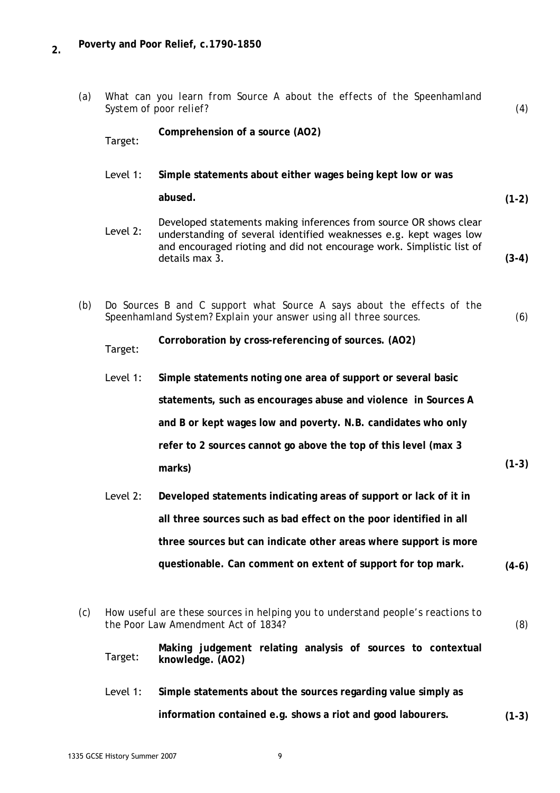### **2. Poverty and Poor Relief, c.1790-1850**

*(a) What can you learn from Source A about the effects of the Speenhamland System of poor relief? (4)* 

Target: **Comprehension of a source (AO2)** 

Level 1: **Simple statements about either wages being kept low or was** 

**abused. (1-2)** 

- Developed statements making inferences from source OR shows clear<br>Level 2: understanding of soveral identified weaknesses e.g. kept wages low understanding of several identified weaknesses e.g. kept wages low and encouraged rioting and did not encourage work. Simplistic list of details max 3. **(3-4)**
- *(b) Do Sources B and C support what Source A says about the effects of the Speenhamland System? Explain your answer using all three sources. (6)*

Target: **Corroboration by cross-referencing of sources. (AO2)** 

- Level 1: **Simple statements noting one area of support or several basic statements, such as encourages abuse and violence in Sources A and B or kept wages low and poverty. N.B. candidates who only refer to 2 sources cannot go above the top of this level (max 3 marks) (1-3)**
- Level 2: **Developed statements indicating areas of support or lack of it in all three sources such as bad effect on the poor identified in all three sources but can indicate other areas where support is more questionable. Can comment on extent of support for top mark. (4-6)**
- *(c) How useful are these sources in helping you to understand people's reactions to the Poor Law Amendment Act of 1834? (8)*

Target: **Making judgement relating analysis of sources to contextual knowledge. (AO2)** 

Level 1: **Simple statements about the sources regarding value simply as information contained e.g. shows a riot and good labourers. (1-3)**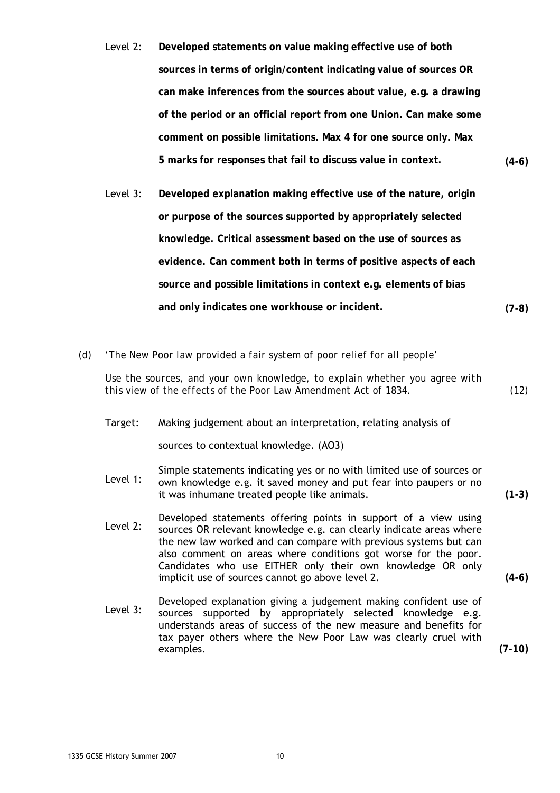- Level 2: **Developed statements on value making effective use of both sources in terms of origin/content indicating value of sources OR can make inferences from the sources about value, e.g. a drawing of the period or an official report from one Union. Can make some comment on possible limitations. Max 4 for one source only. Max 5 marks for responses that fail to discuss value in context. (4-6)**
- Level 3: **Developed explanation making effective use of the nature, origin or purpose of the sources supported by appropriately selected knowledge. Critical assessment based on the use of sources as evidence. Can comment both in terms of positive aspects of each source and possible limitations in context e.g. elements of bias and only indicates one workhouse or incident. (7-8)**
- *(d) 'The New Poor law provided a fair system of poor relief for all people'*

*Use the sources, and your own knowledge, to explain whether you agree with this view of the effects of the Poor Law Amendment Act of 1834. (12)* 

Target: Making judgement about an interpretation, relating analysis of

sources to contextual knowledge. (AO3)

- Simple statements indicating yes or no with limited use of sources or<br>Level 1: Sown knowledge e.g. it saved money and put fear into paypers or no own knowledge e.g. it saved money and put fear into paupers or no it was inhumane treated people like animals. **(1-3)**
- Developed statements offering points in support of a view using<br>Level 2: sources OP relevant knowledge a g can clearly indicate areas where sources OR relevant knowledge e.g. can clearly indicate areas where the new law worked and can compare with previous systems but can also comment on areas where conditions got worse for the poor. Candidates who use EITHER only their own knowledge OR only implicit use of sources cannot go above level 2. **(4-6)**
- Developed explanation giving a judgement making confident use of<br>Level 3: sources supported by appropriately selected knowledge e.g. sources supported by appropriately selected knowledge e.g. understands areas of success of the new measure and benefits for tax payer others where the New Poor Law was clearly cruel with examples. **(7-10)**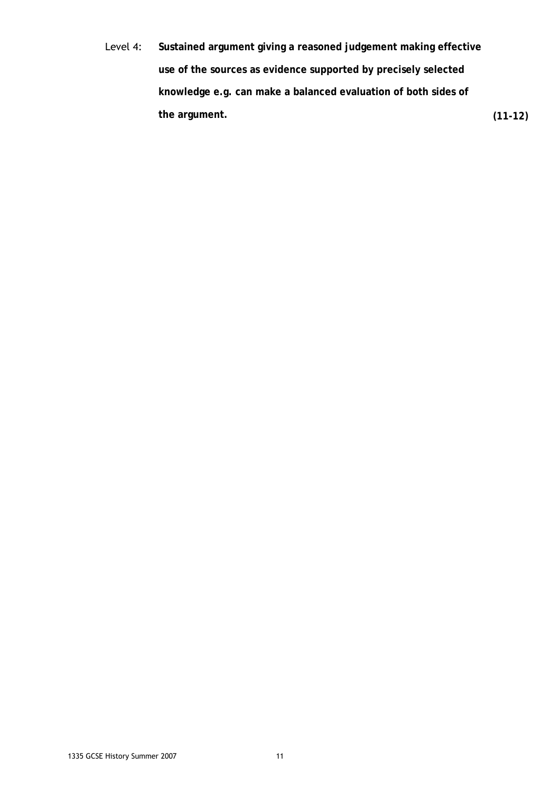Level 4: **Sustained argument giving a reasoned judgement making effective use of the sources as evidence supported by precisely selected knowledge e.g. can make a balanced evaluation of both sides of the argument. (11-12)**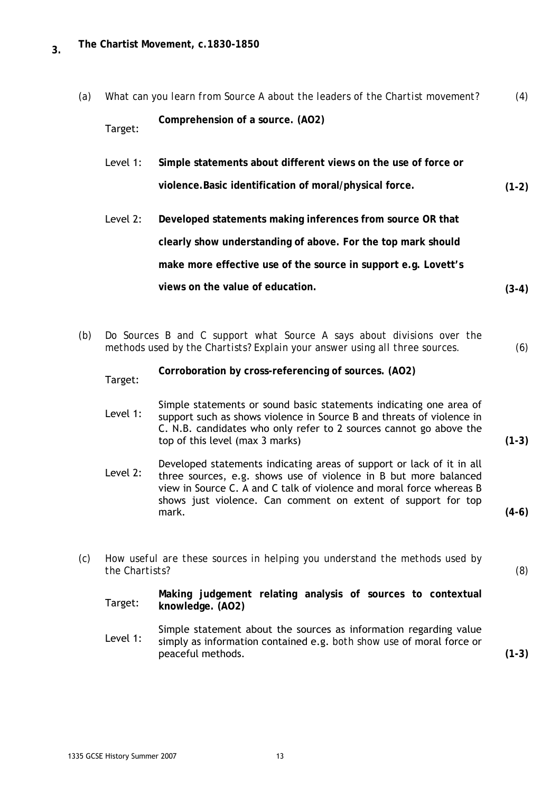| (a) | What can you learn from Source A about the leaders of the Chartist movement? |                                                                                                                                                       |         |  |
|-----|------------------------------------------------------------------------------|-------------------------------------------------------------------------------------------------------------------------------------------------------|---------|--|
|     | Target:                                                                      | Comprehension of a source. (AO2)                                                                                                                      |         |  |
|     | Level 1:                                                                     | Simple statements about different views on the use of force or                                                                                        |         |  |
|     |                                                                              | violence. Basic identification of moral/physical force.                                                                                               | $(1-2)$ |  |
|     | Level 2:                                                                     | Developed statements making inferences from source OR that                                                                                            |         |  |
|     |                                                                              | clearly show understanding of above. For the top mark should                                                                                          |         |  |
|     |                                                                              | make more effective use of the source in support e.g. Lovett's                                                                                        |         |  |
|     |                                                                              | views on the value of education.                                                                                                                      | $(3-4)$ |  |
|     |                                                                              |                                                                                                                                                       |         |  |
| (b) |                                                                              | Do Sources B and C support what Source A says about divisions over the<br>methods used by the Chartists? Explain your answer using all three sources. | (6)     |  |

Target: **Corroboration by cross-referencing of sources. (AO2)** 

Simple statements or sound basic statements indicating one area of<br>Level 1: support such as shows violence in Source B and threats of violence in support such as shows violence in Source B and threats of violence in C. N.B. candidates who only refer to 2 sources cannot go above the top of this level (max 3 marks) **(1-3)** 

- Developed statements indicating areas of support or lack of it in all<br>Level 2: three sources a g shows use of violence in B but mere belanced three sources, e.g. shows use of violence in B but more balanced view in Source C. A and C talk of violence and moral force whereas B shows just violence. Can comment on extent of support for top mark. **(4-6)**
- *(c) How useful are these sources in helping you understand the methods used by the Chartists? (8)*

Target: **Making judgement relating analysis of sources to contextual knowledge. (AO2)** 

Simple statement about the sources as information regarding value<br>Level 1: simply as information contained a g, both show use of moral force or simply as information contained e.g. *both show use* of moral force or peaceful methods. **(1-3)**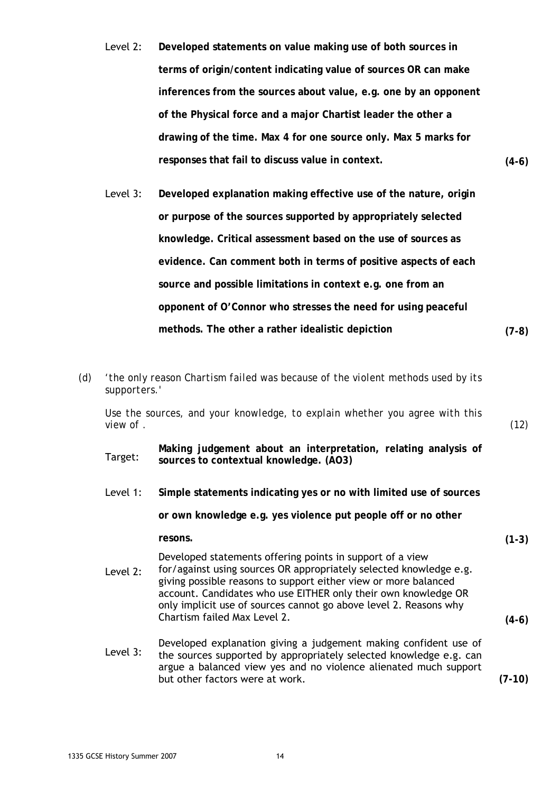- Level 2: **Developed statements on value making use of both sources in terms of origin/content indicating value of sources OR can make inferences from the sources about value, e.g. one by an opponent of the Physical force and a major Chartist leader the other a drawing of the time. Max 4 for one source only. Max 5 marks for responses that fail to discuss value in context. (4-6)**
- Level 3: **Developed explanation making effective use of the nature, origin or purpose of the sources supported by appropriately selected knowledge. Critical assessment based on the use of sources as evidence. Can comment both in terms of positive aspects of each source and possible limitations in context e.g. one from an opponent of O'Connor who stresses the need for using peaceful methods. The other a rather idealistic depiction (7-8)**
- *(d) 'the only reason Chartism failed was because of the violent methods used by its supporters.'*

*Use the sources, and your knowledge, to explain whether you agree with this view of . (12)* 

- **Making judgement about an interpretation, relating analysis of Target:** sources to contextual knowledge (AO3) **sources to contextual knowledge. (AO3)**
- Level 1: **Simple statements indicating yes or no with limited use of sources**

**or own knowledge e.g. yes violence put people off or no other** 

**resons. (1-3)** 

Developed statements offering points in support of a view

- Level 2: for/against using sources OR appropriately selected knowledge e.g. giving possible reasons to support either view or more balanced account. Candidates who use EITHER only their own knowledge OR only implicit use of sources cannot go above level 2. Reasons why Chartism failed Max Level 2. **(4-6)**
- Developed explanation giving a judgement making confident use of<br>Level 3: the seurese supported by appropriately selected knowledge a g can the sources supported by appropriately selected knowledge e.g. can argue a balanced view yes and no violence alienated much support but other factors were at work. **(7-10)**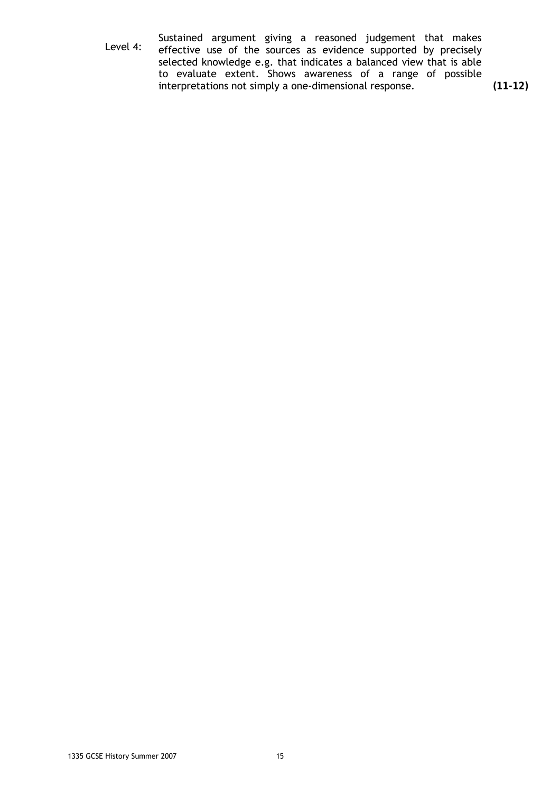Sustained argument giving a reasoned judgement that makes<br>Level 4: effective use of the sources as evidence supported by precisely effective use of the sources as evidence supported by precisely selected knowledge e.g. that indicates a balanced view that is able to evaluate extent. Shows awareness of a range of possible interpretations not simply a one-dimensional response. **(11-12)**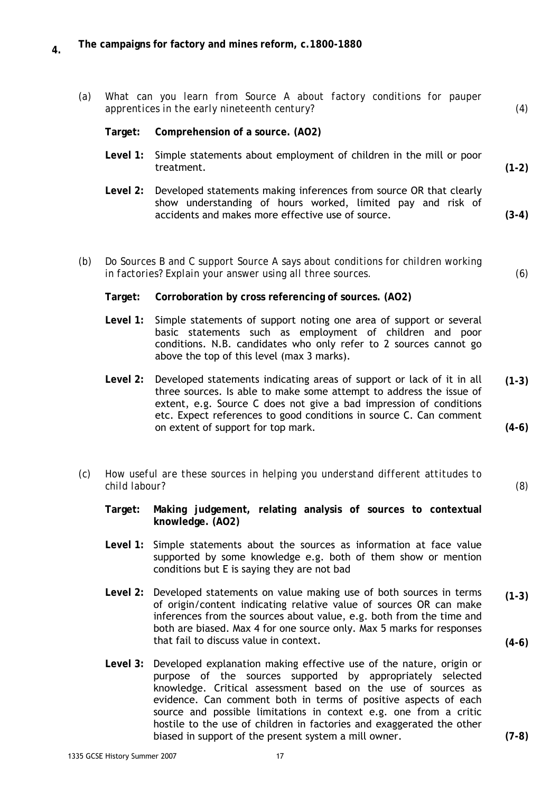| (a) | What can you learn from Source A about factory conditions for pauper<br>apprentices in the early nineteenth century? |                                                                                                                                                                                                                                                                                                                                |                    |
|-----|----------------------------------------------------------------------------------------------------------------------|--------------------------------------------------------------------------------------------------------------------------------------------------------------------------------------------------------------------------------------------------------------------------------------------------------------------------------|--------------------|
|     | Target:                                                                                                              | Comprehension of a source. (AO2)                                                                                                                                                                                                                                                                                               |                    |
|     | Level 1:                                                                                                             | Simple statements about employment of children in the mill or poor<br>treatment.                                                                                                                                                                                                                                               | $(1-2)$            |
|     | Level 2:                                                                                                             | Developed statements making inferences from source OR that clearly<br>show understanding of hours worked, limited pay and risk of<br>accidents and makes more effective use of source.                                                                                                                                         | $(3-4)$            |
| (b) |                                                                                                                      | Do Sources B and C support Source A says about conditions for children working<br>in factories? Explain your answer using all three sources.                                                                                                                                                                                   | (6)                |
|     | Target:                                                                                                              | Corroboration by cross referencing of sources. (AO2)                                                                                                                                                                                                                                                                           |                    |
|     | Level 1:                                                                                                             | Simple statements of support noting one area of support or several<br>basic statements such as employment of children and poor<br>conditions. N.B. candidates who only refer to 2 sources cannot go<br>above the top of this level (max 3 marks).                                                                              |                    |
|     | Level 2:                                                                                                             | Developed statements indicating areas of support or lack of it in all<br>three sources. Is able to make some attempt to address the issue of<br>extent, e.g. Source C does not give a bad impression of conditions<br>etc. Expect references to good conditions in source C. Can comment<br>on extent of support for top mark. | $(1-3)$<br>$(4-6)$ |
| (c) | How useful are these sources in helping you understand different attitudes to<br>child labour?                       |                                                                                                                                                                                                                                                                                                                                |                    |
|     | Target:                                                                                                              | Making judgement, relating analysis of sources to contextual<br>knowledge. (AO2)                                                                                                                                                                                                                                               |                    |
|     |                                                                                                                      | Level 1: Simple statements about the sources as information at face value<br>supported by some knowledge e.g. both of them show or mention<br>conditions but E is saying they are not bad                                                                                                                                      |                    |
|     |                                                                                                                      | Level 2: Developed statements on value making use of both sources in terms<br>of origin/content indicating relative value of sources OR can make<br>inferences from the sources about value, e.g. both from the time and<br>both are biased. Max 4 for one source only. Max 5 marks for responses                              | $(1-3)$            |
|     |                                                                                                                      | that fail to discuss value in context.<br>Level 3: Developed explanation making effective use of the nature, origin or                                                                                                                                                                                                         | $(4-6)$            |
|     |                                                                                                                      |                                                                                                                                                                                                                                                                                                                                |                    |

purpose of the sources supported by appropriately selected knowledge. Critical assessment based on the use of sources as evidence. Can comment both in terms of positive aspects of each source and possible limitations in context e.g. one from a critic hostile to the use of children in factories and exaggerated the other biased in support of the present system a mill owner.

**(7-8)**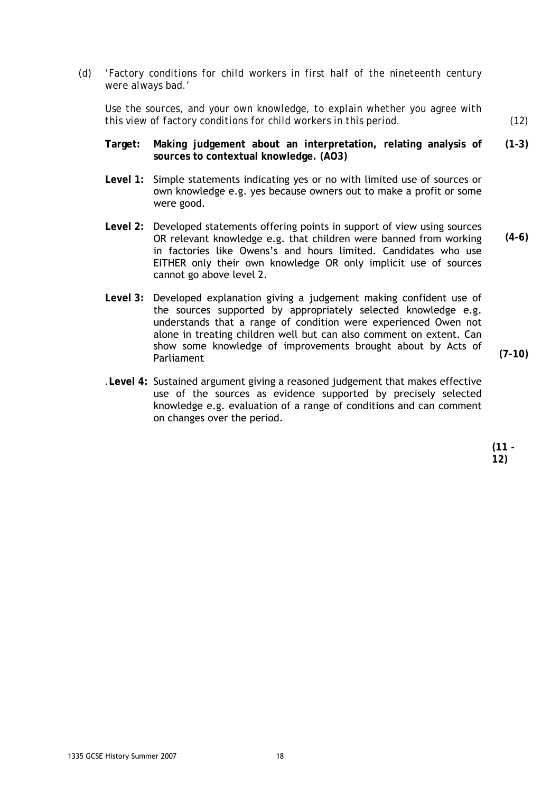*(d) 'Factory conditions for child workers in first half of the nineteenth century were always bad.'* 

*Use the sources, and your own knowledge, to explain whether you agree with this view of factory conditions for child workers in this period. (12)* 

- **Target: Making judgement about an interpretation, relating analysis of sources to contextual knowledge. (AO3) (1-3)**
- **Level 1:** Simple statements indicating yes or no with limited use of sources or own knowledge e.g. yes because owners out to make a profit or some were good.
- **Level 2:** Developed statements offering points in support of view using sources OR relevant knowledge e.g. that children were banned from working in factories like Owens's and hours limited. Candidates who use EITHER only their own knowledge OR only implicit use of sources cannot go above level 2. **(4-6)**
- **Level 3:** Developed explanation giving a judgement making confident use of the sources supported by appropriately selected knowledge e.g. understands that a range of condition were experienced Owen not alone in treating children well but can also comment on extent. Can show some knowledge of improvements brought about by Acts of Parliament

**(7-10)** 

*.***Level 4:** Sustained argument giving a reasoned judgement that makes effective use of the sources as evidence supported by precisely selected knowledge e.g. evaluation of a range of conditions and can comment on changes over the period.

> **(11 - 12)**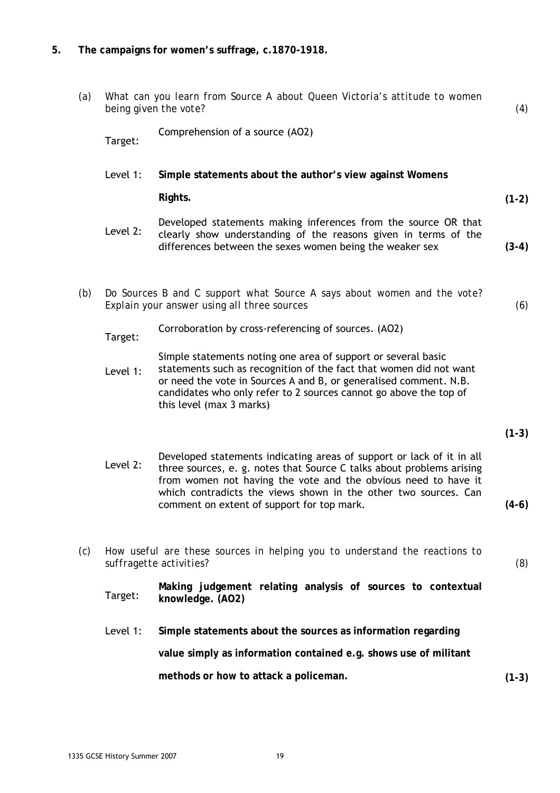### **5. The campaigns for women's suffrage, c.1870-1918.**

| (a) | What can you learn from Source A about Queen Victoria's attitude to women<br>being given the vote? |                                                                                                                                                                                                                                                                                                                                   |         |
|-----|----------------------------------------------------------------------------------------------------|-----------------------------------------------------------------------------------------------------------------------------------------------------------------------------------------------------------------------------------------------------------------------------------------------------------------------------------|---------|
|     | Target:                                                                                            | Comprehension of a source (AO2)                                                                                                                                                                                                                                                                                                   |         |
|     | Level 1:                                                                                           | Simple statements about the author's view against Womens                                                                                                                                                                                                                                                                          |         |
|     |                                                                                                    | Rights.                                                                                                                                                                                                                                                                                                                           | $(1-2)$ |
|     | Level 2:                                                                                           | Developed statements making inferences from the source OR that<br>clearly show understanding of the reasons given in terms of the<br>differences between the sexes women being the weaker sex                                                                                                                                     | $(3-4)$ |
| (b) |                                                                                                    | Do Sources B and C support what Source A says about women and the vote?<br>Explain your answer using all three sources                                                                                                                                                                                                            | (6)     |
|     | Target:                                                                                            | Corroboration by cross-referencing of sources. (AO2)                                                                                                                                                                                                                                                                              |         |
|     | Level 1:                                                                                           | Simple statements noting one area of support or several basic<br>statements such as recognition of the fact that women did not want<br>or need the vote in Sources A and B, or generalised comment. N.B.<br>candidates who only refer to 2 sources cannot go above the top of<br>this level (max 3 marks)                         |         |
|     |                                                                                                    |                                                                                                                                                                                                                                                                                                                                   | $(1-3)$ |
|     | Level 2:                                                                                           | Developed statements indicating areas of support or lack of it in all<br>three sources, e. g. notes that Source C talks about problems arising<br>from women not having the vote and the obvious need to have it<br>which contradicts the views shown in the other two sources. Can<br>comment on extent of support for top mark. | $(4-6)$ |
| (c) |                                                                                                    | How useful are these sources in helping you to understand the reactions to<br>suffragette activities?                                                                                                                                                                                                                             | (8)     |
|     | Target:                                                                                            | Making judgement relating analysis of sources to contextual<br>knowledge. (AO2)                                                                                                                                                                                                                                                   |         |
|     | Level 1:                                                                                           | Simple statements about the sources as information regarding                                                                                                                                                                                                                                                                      |         |
|     |                                                                                                    | value simply as information contained e.g. shows use of militant                                                                                                                                                                                                                                                                  |         |
|     |                                                                                                    | methods or how to attack a policeman.                                                                                                                                                                                                                                                                                             | $(1-3)$ |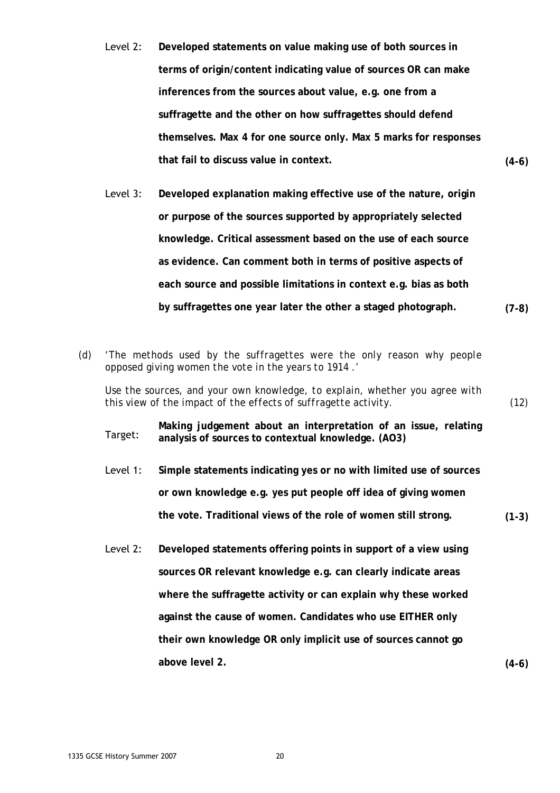- Level 2: **Developed statements on value making use of both sources in terms of origin/content indicating value of sources OR can make inferences from the sources about value, e.g. one from a suffragette and the other on how suffragettes should defend themselves. Max 4 for one source only. Max 5 marks for responses that fail to discuss value in context. (4-6)**
- Level 3: **Developed explanation making effective use of the nature, origin or purpose of the sources supported by appropriately selected knowledge. Critical assessment based on the use of each source as evidence. Can comment both in terms of positive aspects of each source and possible limitations in context e.g. bias as both by suffragettes one year later the other a staged photograph. (7-8)**
- *(d) 'The methods used by the suffragettes were the only reason why people opposed giving women the vote in the years to 1914 .'*

*Use the sources, and your own knowledge, to explain, whether you agree with this view of the impact of the effects of suffragette activity. (12)* 

**Making judgement about an interpretation of an issue, relating**<br>Target: analysis of sources to contextual knowledge (AO3) **analysis of sources to contextual knowledge. (AO3)** 

- Level 1: **Simple statements indicating yes or no with limited use of sources or own knowledge e.g. yes put people off idea of giving women the vote. Traditional views of the role of women still strong. (1-3)**
- Level 2: **Developed statements offering points in support of a view using sources OR relevant knowledge e.g. can clearly indicate areas where the suffragette activity or can explain why these worked against the cause of women. Candidates who use EITHER only their own knowledge OR only implicit use of sources cannot go above level 2. (4-6)**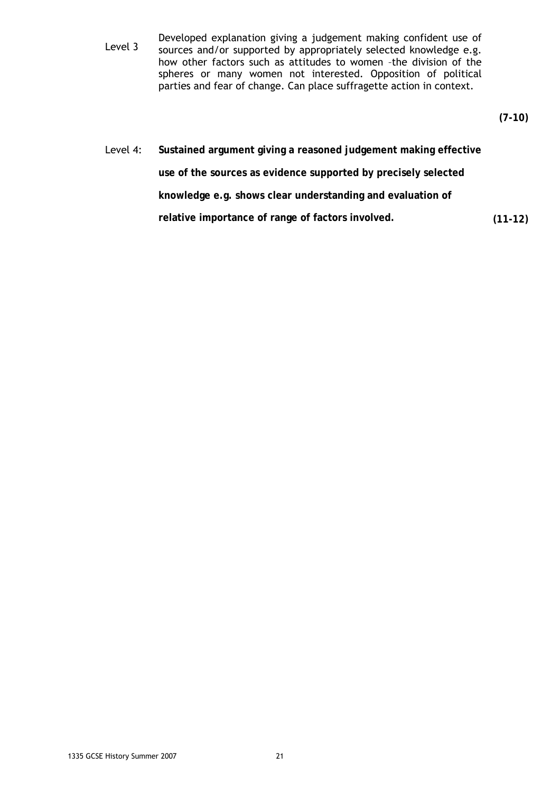Developed explanation giving a judgement making confident use of<br>Level 3 sources and/or supported by appropriately selected knowledge e.g. sources and/or supported by appropriately selected knowledge e.g. how other factors such as attitudes to women –the division of the spheres or many women not interested. Opposition of political parties and fear of change. Can place suffragette action in context.

**(7-10)** 

Level 4: **Sustained argument giving a reasoned judgement making effective use of the sources as evidence supported by precisely selected knowledge e.g. shows clear understanding and evaluation of relative importance of range of factors involved. (11-12)**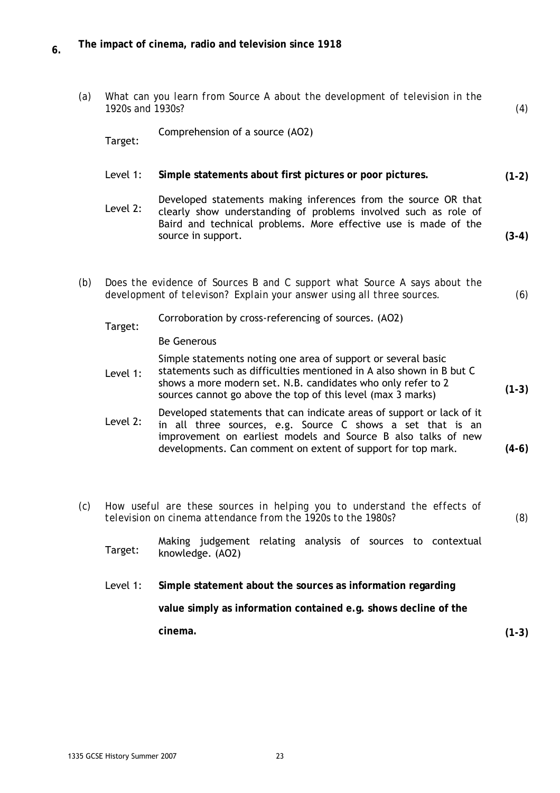| (a) | What can you learn from Source A about the development of television in the<br>1920s and 1930s? |                                                                                                                                                                                                                                                                      |         |  |
|-----|-------------------------------------------------------------------------------------------------|----------------------------------------------------------------------------------------------------------------------------------------------------------------------------------------------------------------------------------------------------------------------|---------|--|
|     | Target:                                                                                         | Comprehension of a source (AO2)                                                                                                                                                                                                                                      |         |  |
|     | Level 1:                                                                                        | Simple statements about first pictures or poor pictures.                                                                                                                                                                                                             | $(1-2)$ |  |
|     | Level 2:                                                                                        | Developed statements making inferences from the source OR that<br>clearly show understanding of problems involved such as role of<br>Baird and technical problems. More effective use is made of the<br>source in support.                                           | $(3-4)$ |  |
| (b) |                                                                                                 | Does the evidence of Sources B and C support what Source A says about the<br>development of televison? Explain your answer using all three sources.                                                                                                                  | (6)     |  |
|     | Target:                                                                                         | Corroboration by cross-referencing of sources. (AO2)                                                                                                                                                                                                                 |         |  |
|     |                                                                                                 | <b>Be Generous</b>                                                                                                                                                                                                                                                   |         |  |
|     | Level 1:                                                                                        | Simple statements noting one area of support or several basic<br>statements such as difficulties mentioned in A also shown in B but C<br>shows a more modern set. N.B. candidates who only refer to 2<br>sources cannot go above the top of this level (max 3 marks) | $(1-3)$ |  |
|     | Level 2:                                                                                        | Developed statements that can indicate areas of support or lack of it<br>in all three sources, e.g. Source C shows a set that is an<br>improvement on earliest models and Source B also talks of new<br>developments. Can comment on extent of support for top mark. | $(4-6)$ |  |
|     |                                                                                                 | (c) How useful are these sources in helping you to understand the effects of                                                                                                                                                                                         |         |  |
|     | television on cinema attendance from the 1920s to the 1980s?                                    |                                                                                                                                                                                                                                                                      |         |  |
|     | Target:                                                                                         | Making judgement relating analysis of sources to contextual<br>knowledge. (AO2)                                                                                                                                                                                      |         |  |
|     | Level 1:                                                                                        | Simple statement about the sources as information regarding                                                                                                                                                                                                          |         |  |
|     |                                                                                                 | value simply as information contained e.g. shows decline of the                                                                                                                                                                                                      |         |  |
|     |                                                                                                 | cinema.                                                                                                                                                                                                                                                              | $(1-3)$ |  |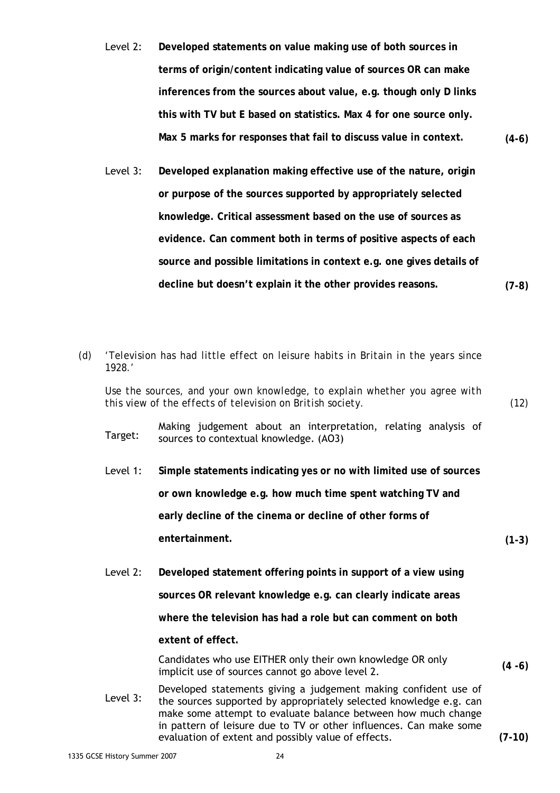- Level 2: **Developed statements on value making use of both sources in terms of origin/content indicating value of sources OR can make inferences from the sources about value, e.g. though only D links this with TV but E based on statistics. Max 4 for one source only. Max 5 marks for responses that fail to discuss value in context. (4-6)**
- Level 3: **Developed explanation making effective use of the nature, origin or purpose of the sources supported by appropriately selected knowledge. Critical assessment based on the use of sources as evidence. Can comment both in terms of positive aspects of each source and possible limitations in context e.g. one gives details of decline but doesn't explain it the other provides reasons. (7-8)**
- *(d) 'Television has had little effect on leisure habits in Britain in the years since 1928.'*

*Use the sources, and your own knowledge, to explain whether you agree with this view of the effects of television on British society. (12)* 

Making judgement about an interpretation, relating analysis of Target: sources to contextual knowledge  $(AO3)$ sources to contextual knowledge. (AO3)

- Level 1: **Simple statements indicating yes or no with limited use of sources or own knowledge e.g. how much time spent watching TV and early decline of the cinema or decline of other forms of entertainment. (1-3)**
- Level 2: **Developed statement offering points in support of a view using sources OR relevant knowledge e.g. can clearly indicate areas where the television has had a role but can comment on both extent of effect.**  Candidates who use EITHER only their own knowledge OR only implicit use of sources cannot go above level 2. **(4 -6)**
- Developed statements giving a judgement making confident use of<br>Level 3: the servess supported by appropriately selected knowledge a g can the sources supported by appropriately selected knowledge e.g. can make some attempt to evaluate balance between how much change in pattern of leisure due to TV or other influences. Can make some evaluation of extent and possibly value of effects. **(7-10)**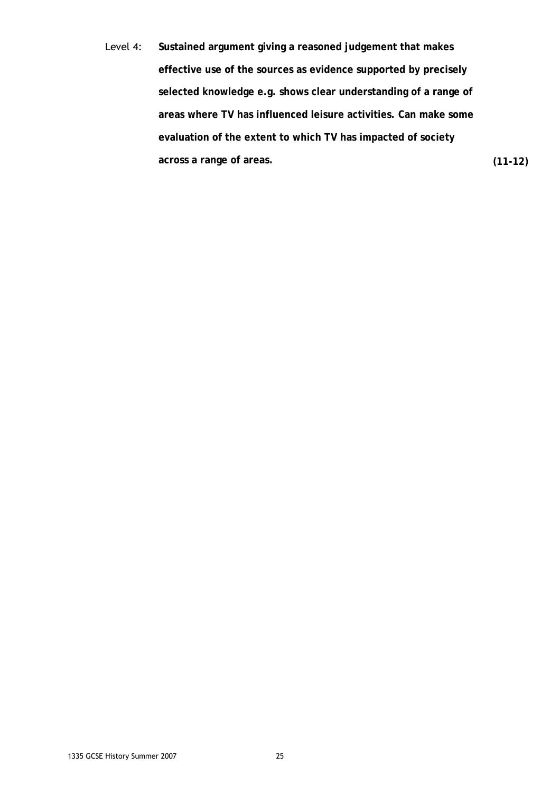Level 4: **Sustained argument giving a reasoned judgement that makes effective use of the sources as evidence supported by precisely selected knowledge e.g. shows clear understanding of a range of areas where TV has influenced leisure activities. Can make some evaluation of the extent to which TV has impacted of society across a range of areas. (11-12)**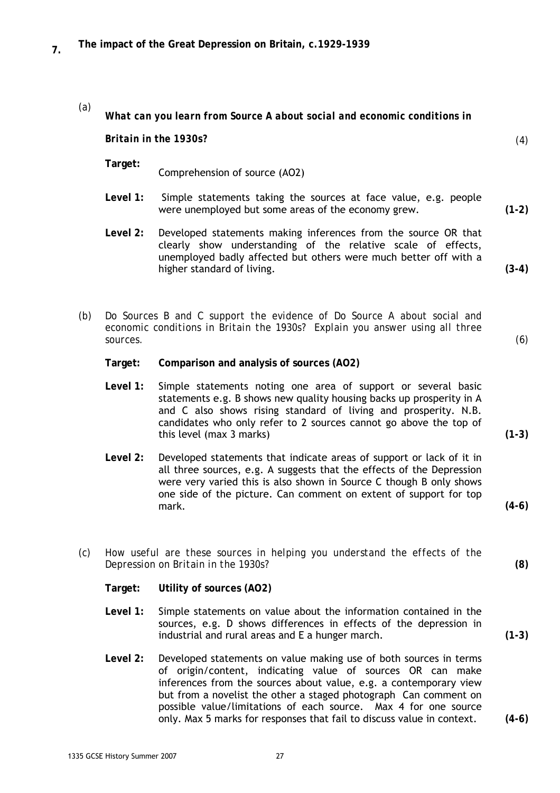- *(a) What can you learn from Source A about social and economic conditions in Britain in the 1930s? (4)*   **Target:** Comprehension of source (AO2)  **Level 1:** Simple statements taking the sources at face value, e.g. people were unemployed but some areas of the economy grew. **(1-2) Level 2:** Developed statements making inferences from the source OR that clearly show understanding of the relative scale of effects, unemployed badly affected but others were much better off with a higher standard of living. **(3-4)**
- *(b) Do Sources B and C support the evidence of Do Source A about social and economic conditions in Britain the 1930s? Explain you answer using all three sources. (6)* 
	- **Target: Comparison and analysis of sources (AO2)**
	- **Level 1:** Simple statements noting one area of support or several basic statements e.g. B shows new quality housing backs up prosperity in A and C also shows rising standard of living and prosperity. N.B. candidates who only refer to 2 sources cannot go above the top of this level (max 3 marks) **(1-3)**
	- **Level 2:** Developed statements that indicate areas of support or lack of it in all three sources, e.g. A suggests that the effects of the Depression were very varied this is also shown in Source C though B only shows one side of the picture. Can comment on extent of support for top mark. **(4-6)**
- *(c) How useful are these sources in helping you understand the effects of the Depression on Britain in the 1930s?* **(8)** 
	- **Target: Utility of sources (AO2)**
	- **Level 1:** Simple statements on value about the information contained in the sources, e.g. D shows differences in effects of the depression in industrial and rural areas and E a hunger march. **(1-3)**
	- **Level 2:** Developed statements on value making use of both sources in terms of origin/content, indicating value of sources OR can make inferences from the sources about value, e.g. a contemporary view but from a novelist the other a staged photograph Can comment on possible value/limitations of each source. Max 4 for one source only. Max 5 marks for responses that fail to discuss value in context. **(4-6)**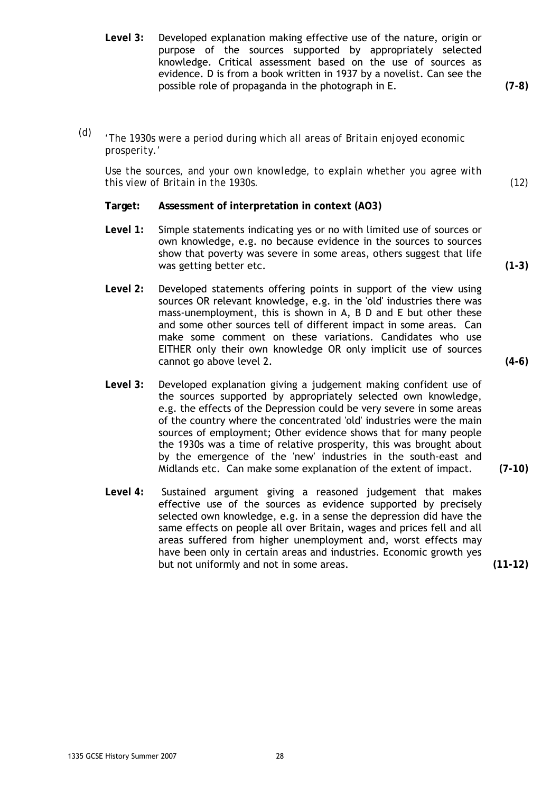**Level 3:** Developed explanation making effective use of the nature, origin or purpose of the sources supported by appropriately selected knowledge. Critical assessment based on the use of sources as evidence. D is from a book written in 1937 by a novelist. Can see the possible role of propaganda in the photograph in E. **(7-8)** 

*(d) 'The 1930s were a period during which all areas of Britain enjoyed economic prosperity.'* 

*Use the sources, and your own knowledge, to explain whether you agree with this view of Britain in the 1930s. (12)* 

- **Target: Assessment of interpretation in context (AO3)**
- **Level 1:** Simple statements indicating yes or no with limited use of sources or own knowledge, e.g. no because evidence in the sources to sources show that poverty was severe in some areas, others suggest that life was getting better etc. **(1-3) (1-3)**
- **Level 2:** Developed statements offering points in support of the view using sources OR relevant knowledge, e.g. in the 'old' industries there was mass-unemployment, this is shown in A, B D and E but other these and some other sources tell of different impact in some areas. Can make some comment on these variations. Candidates who use EITHER only their own knowledge OR only implicit use of sources cannot go above level 2. **(4-6)**
- **Level 3:** Developed explanation giving a judgement making confident use of the sources supported by appropriately selected own knowledge, e.g. the effects of the Depression could be very severe in some areas of the country where the concentrated 'old' industries were the main sources of employment; Other evidence shows that for many people the 1930s was a time of relative prosperity, this was brought about by the emergence of the 'new' industries in the south-east and Midlands etc. Can make some explanation of the extent of impact. **(7-10)**
- **Level 4:** Sustained argument giving a reasoned judgement that makes effective use of the sources as evidence supported by precisely selected own knowledge, e.g. in a sense the depression did have the same effects on people all over Britain, wages and prices fell and all areas suffered from higher unemployment and, worst effects may have been only in certain areas and industries. Economic growth yes but not uniformly and not in some areas. **(11-12)**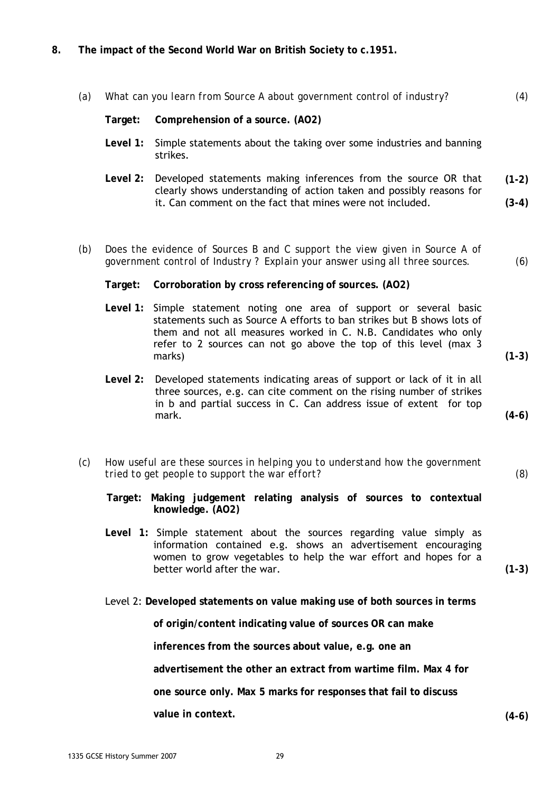**8. The impact of the Second World War on British Society to c.1951.** 

| (a) | What can you learn from Source A about government control of industry? |                                                                                                                                                                                                                                                                                        |         |
|-----|------------------------------------------------------------------------|----------------------------------------------------------------------------------------------------------------------------------------------------------------------------------------------------------------------------------------------------------------------------------------|---------|
|     | Target:                                                                | Comprehension of a source. (AO2)                                                                                                                                                                                                                                                       |         |
|     | Level 1:                                                               | Simple statements about the taking over some industries and banning<br>strikes.                                                                                                                                                                                                        |         |
|     |                                                                        | Level 2: Developed statements making inferences from the source OR that<br>clearly shows understanding of action taken and possibly reasons for                                                                                                                                        | $(1-2)$ |
|     |                                                                        | it. Can comment on the fact that mines were not included.                                                                                                                                                                                                                              | $(3-4)$ |
|     |                                                                        |                                                                                                                                                                                                                                                                                        |         |
| (b) |                                                                        | Does the evidence of Sources B and C support the view given in Source A of<br>government control of Industry? Explain your answer using all three sources.                                                                                                                             | (6)     |
|     | Target:                                                                | Corroboration by cross referencing of sources. (AO2)                                                                                                                                                                                                                                   |         |
|     |                                                                        | Level 1: Simple statement noting one area of support or several basic<br>statements such as Source A efforts to ban strikes but B shows lots of<br>them and not all measures worked in C. N.B. Candidates who only<br>refer to 2 sources can not go above the top of this level (max 3 |         |
|     |                                                                        | marks)                                                                                                                                                                                                                                                                                 | $(1-3)$ |

- **Level 2:** Developed statements indicating areas of support or lack of it in all three sources, e.g. can cite comment on the rising number of strikes in b and partial success in C. Can address issue of extent for top mark. **(4-6)**
- *(c) How useful are these sources in helping you to understand how the government tried to get people to support the war effort? (8)* 
	- **Target: Making judgement relating analysis of sources to contextual knowledge. (AO2)**
	- **Level 1:** Simple statement about the sources regarding value simply as information contained e.g. shows an advertisement encouraging women to grow vegetables to help the war effort and hopes for a better world after the war. **(1-3) (1-3)**
	- Level 2: **Developed statements on value making use of both sources in terms**

**of origin/content indicating value of sources OR can make** 

**inferences from the sources about value, e.g. one an** 

**advertisement the other an extract from wartime film. Max 4 for** 

**one source only. Max 5 marks for responses that fail to discuss** 

**value in context. (4-6)**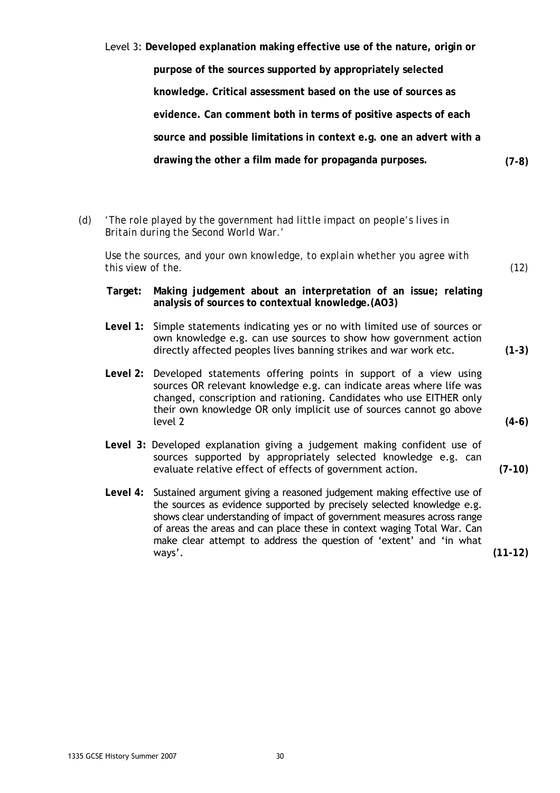**purpose of the sources supported by appropriately selected knowledge. Critical assessment based on the use of sources as evidence. Can comment both in terms of positive aspects of each source and possible limitations in context e.g. one an advert with a drawing the other a film made for propaganda purposes. (7-8)** 

Level 3: **Developed explanation making effective use of the nature, origin or** 

*(d) 'The role played by the government had little impact on people's lives in Britain during the Second World War.'* 

*Use the sources, and your own knowledge, to explain whether you agree with this view of the. (12)* 

- **Target: Making judgement about an interpretation of an issue; relating analysis of sources to contextual knowledge.(AO3)**
- **Level 1:** Simple statements indicating yes or no with limited use of sources or own knowledge e.g. can use sources to show how government action directly affected peoples lives banning strikes and war work etc. **(1-3)**
- **Level 2:** Developed statements offering points in support of a view using sources OR relevant knowledge e.g. can indicate areas where life was changed, conscription and rationing. Candidates who use EITHER only their own knowledge OR only implicit use of sources cannot go above level 2 **(4-6)**
- **Level 3:** Developed explanation giving a judgement making confident use of sources supported by appropriately selected knowledge e.g. can evaluate relative effect of effects of government action. **(7-10)**
- **Level 4:** Sustained argument giving a reasoned judgement making effective use of the sources as evidence supported by precisely selected knowledge e.g. shows clear understanding of impact of government measures across range of areas the areas and can place these in context waging Total War. Can make clear attempt to address the question of 'extent' and 'in what ways'. **(11-12)**

1335 GCSE History Summer 2007 30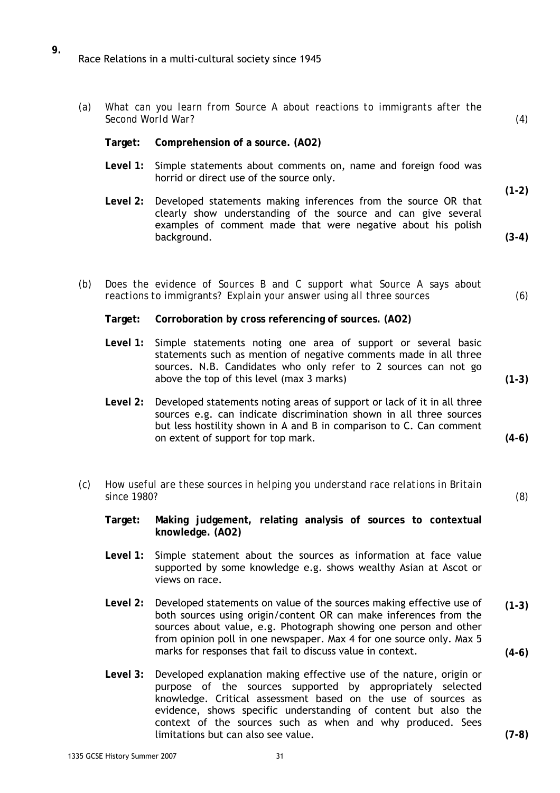- **9.**  Race Relations in a multi-cultural society since 1945
	- *Second World War? (4)*  **Target: Comprehension of a source. (AO2) Level 1:** Simple statements about comments on, name and foreign food was horrid or direct use of the source only.

*(a) What can you learn from Source A about reactions to immigrants after the* 

- **Level 2:** Developed statements making inferences from the source OR that clearly show understanding of the source and can give several examples of comment made that were negative about his polish background. **(1-2) (3-4)**
- *(b) Does the evidence of Sources B and C support what Source A says about reactions to immigrants? Explain your answer using all three sources (6)* 
	- **Target: Corroboration by cross referencing of sources. (AO2)**
	- **Level 1:** Simple statements noting one area of support or several basic statements such as mention of negative comments made in all three sources. N.B. Candidates who only refer to 2 sources can not go above the top of this level (max 3 marks)
	- **Level 2:** Developed statements noting areas of support or lack of it in all three sources e.g. can indicate discrimination shown in all three sources but less hostility shown in A and B in comparison to C. Can comment on extent of support for top mark.
- *(c) How useful are these sources in helping you understand race relations in Britain since 1980? (8)* 
	- **Target: Making judgement, relating analysis of sources to contextual knowledge. (AO2)**
	- **Level 1:** Simple statement about the sources as information at face value supported by some knowledge e.g. shows wealthy Asian at Ascot or views on race.
	- **Level 2:** Developed statements on value of the sources making effective use of both sources using origin/content OR can make inferences from the sources about value, e.g. Photograph showing one person and other from opinion poll in one newspaper. Max 4 for one source only. Max 5 marks for responses that fail to discuss value in context. **(1-3) (4-6)**
	- **Level 3:** Developed explanation making effective use of the nature, origin or purpose of the sources supported by appropriately selected knowledge. Critical assessment based on the use of sources as evidence, shows specific understanding of content but also the context of the sources such as when and why produced. Sees limitations but can also see value.

**(1-3)** 

**(4-6)**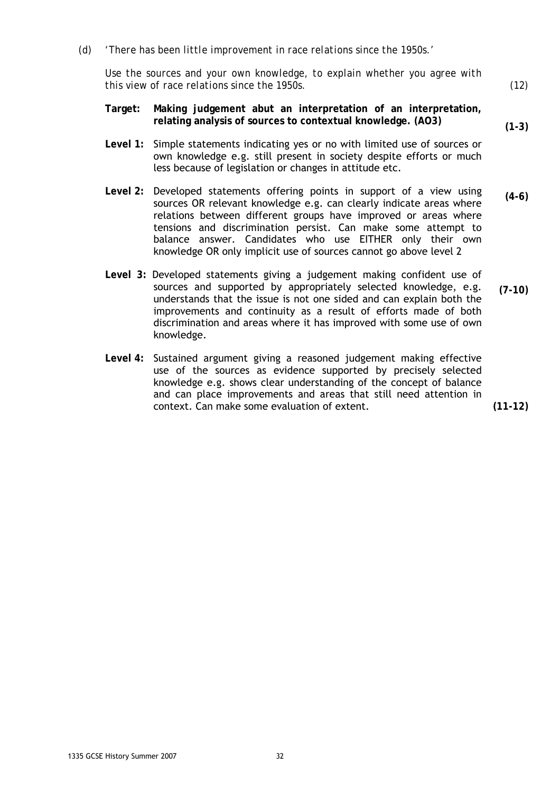*(d) 'There has been little improvement in race relations since the 1950s.'* 

*Use the sources and your own knowledge, to explain whether you agree with this view of race relations since the 1950s. (12)* 

- **Target: Making judgement abut an interpretation of an interpretation, relating analysis of sources to contextual knowledge. (AO3)**
- **Level 1:** Simple statements indicating yes or no with limited use of sources or own knowledge e.g. still present in society despite efforts or much less because of legislation or changes in attitude etc.
- **Level 2:** Developed statements offering points in support of a view using sources OR relevant knowledge e.g. can clearly indicate areas where relations between different groups have improved or areas where tensions and discrimination persist. Can make some attempt to balance answer. Candidates who use EITHER only their own knowledge OR only implicit use of sources cannot go above level 2 **(4-6)**
- **Level 3:** Developed statements giving a judgement making confident use of sources and supported by appropriately selected knowledge, e.g. understands that the issue is not one sided and can explain both the improvements and continuity as a result of efforts made of both discrimination and areas where it has improved with some use of own knowledge. **(7-10)**
- **Level 4:** Sustained argument giving a reasoned judgement making effective use of the sources as evidence supported by precisely selected knowledge e.g. shows clear understanding of the concept of balance and can place improvements and areas that still need attention in context. Can make some evaluation of extent.

**(11-12)** 

**(1-3)**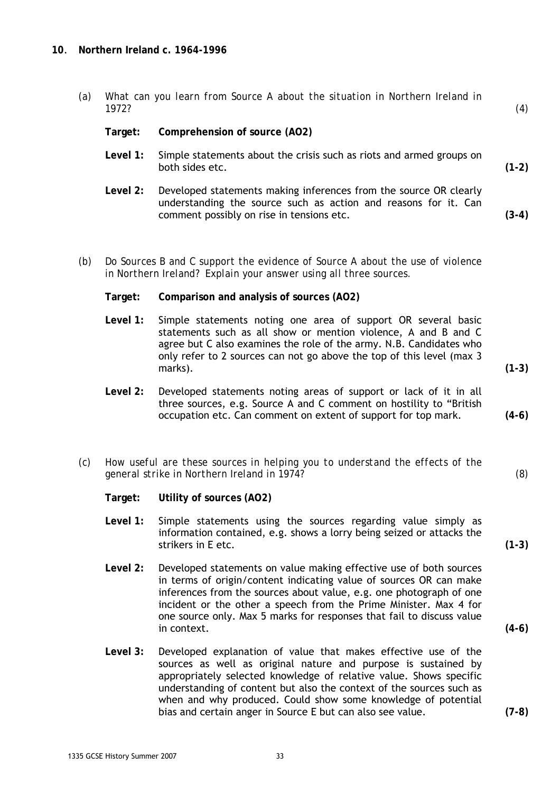#### **10**. **Northern Ireland c. 1964-1996**

| (a) | 1972?    | What can you learn from Source A about the situation in Northern Ireland in                                                                                                                                                                                                                | (4)     |
|-----|----------|--------------------------------------------------------------------------------------------------------------------------------------------------------------------------------------------------------------------------------------------------------------------------------------------|---------|
|     | Target:  | Comprehension of source (AO2)                                                                                                                                                                                                                                                              |         |
|     | Level 1: | Simple statements about the crisis such as riots and armed groups on<br>both sides etc.                                                                                                                                                                                                    | $(1-2)$ |
|     | Level 2: | Developed statements making inferences from the source OR clearly<br>understanding the source such as action and reasons for it. Can<br>comment possibly on rise in tensions etc.                                                                                                          | $(3-4)$ |
| (b) |          | Do Sources B and C support the evidence of Source A about the use of violence<br>in Northern Ireland? Explain your answer using all three sources.                                                                                                                                         |         |
|     | Target:  | Comparison and analysis of sources (AO2)                                                                                                                                                                                                                                                   |         |
|     | Level 1: | Simple statements noting one area of support OR several basic<br>statements such as all show or mention violence, A and B and C<br>agree but C also examines the role of the army. N.B. Candidates who<br>only refer to 2 sources can not go above the top of this level (max 3<br>marks). | $(1-3)$ |
|     | Level 2: | Developed statements noting areas of support or lack of it in all<br>three sources, e.g. Source A and C comment on hostility to "British<br>occupation etc. Can comment on extent of support for top mark.                                                                                 | $(4-6)$ |
| (c) |          | How useful are these sources in helping you to understand the effects of the<br>general strike in Northern Ireland in 1974?                                                                                                                                                                | (8)     |
|     | Target:  | Utility of sources (AO2)                                                                                                                                                                                                                                                                   |         |
|     | Level 1: | Simple statements using the sources regarding value simply as<br>information contained, e.g. shows a lorry being seized or attacks the<br>strikers in E etc.                                                                                                                               | $(1-3)$ |
|     | Level 2: | Developed statements on value making effective use of both sources                                                                                                                                                                                                                         |         |

- in terms of origin/content indicating value of sources OR can make inferences from the sources about value, e.g. one photograph of one incident or the other a speech from the Prime Minister. Max 4 for one source only. Max 5 marks for responses that fail to discuss value in context. **(4-6)**
- **Level 3:** Developed explanation of value that makes effective use of the sources as well as original nature and purpose is sustained by appropriately selected knowledge of relative value. Shows specific understanding of content but also the context of the sources such as when and why produced. Could show some knowledge of potential bias and certain anger in Source E but can also see value. **(7-8)**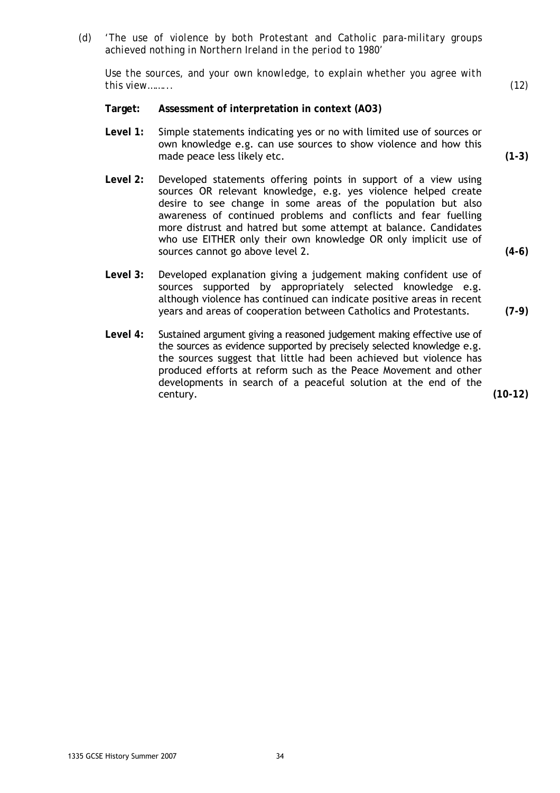*(d) 'The use of violence by both Protestant and Catholic para-military groups achieved nothing in Northern Ireland in the period to 1980'* 

*Use the sources, and your own knowledge, to explain whether you agree with this view……... (12)* 

- **Target: Assessment of interpretation in context (AO3)**
- **Level 1:** Simple statements indicating yes or no with limited use of sources or own knowledge e.g. can use sources to show violence and how this made peace less likely etc. **(1-3)**
- **Level 2:** Developed statements offering points in support of a view using sources OR relevant knowledge, e.g. yes violence helped create desire to see change in some areas of the population but also awareness of continued problems and conflicts and fear fuelling more distrust and hatred but some attempt at balance. Candidates who use EITHER only their own knowledge OR only implicit use of sources cannot go above level 2. **(4-6)**
- **Level 3:** Developed explanation giving a judgement making confident use of sources supported by appropriately selected knowledge e.g. although violence has continued can indicate positive areas in recent years and areas of cooperation between Catholics and Protestants. **(7-9)**
- **Level 4:** Sustained argument giving a reasoned judgement making effective use of the sources as evidence supported by precisely selected knowledge e.g. the sources suggest that little had been achieved but violence has produced efforts at reform such as the Peace Movement and other developments in search of a peaceful solution at the end of the century. **(10-12)**

1335 GCSE History Summer 2007 34